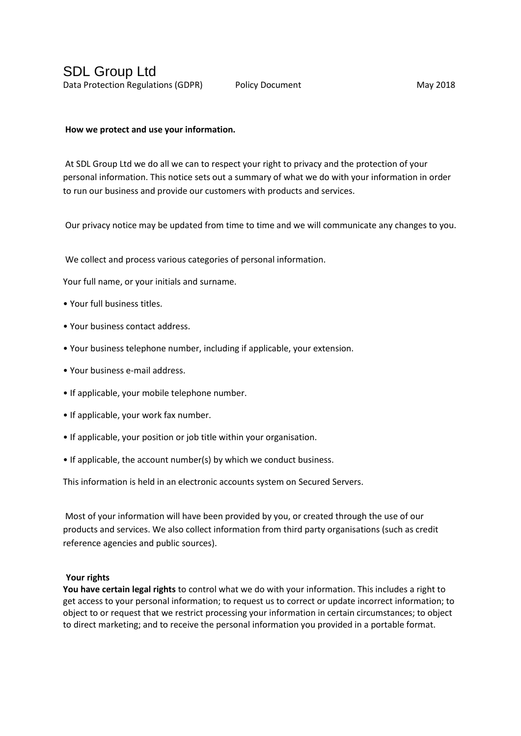## **How we protect and use your information.**

At SDL Group Ltd we do all we can to respect your right to privacy and the protection of your personal information. This notice sets out a summary of what we do with your information in order to run our business and provide our customers with products and services.

Our privacy notice may be updated from time to time and we will communicate any changes to you.

We collect and process various categories of personal information.

Your full name, or your initials and surname.

- Your full business titles.
- Your business contact address.
- Your business telephone number, including if applicable, your extension.
- Your business e-mail address.
- If applicable, your mobile telephone number.
- If applicable, your work fax number.
- If applicable, your position or job title within your organisation.
- If applicable, the account number(s) by which we conduct business.

This information is held in an electronic accounts system on Secured Servers.

Most of your information will have been provided by you, or created through the use of our products and services. We also collect information from third party organisations (such as credit reference agencies and public sources).

## **Your rights**

**You have certain legal rights** to control what we do with your information. This includes a right to get access to your personal information; to request us to correct or update incorrect information; to object to or request that we restrict processing your information in certain circumstances; to object to direct marketing; and to receive the personal information you provided in a portable format.